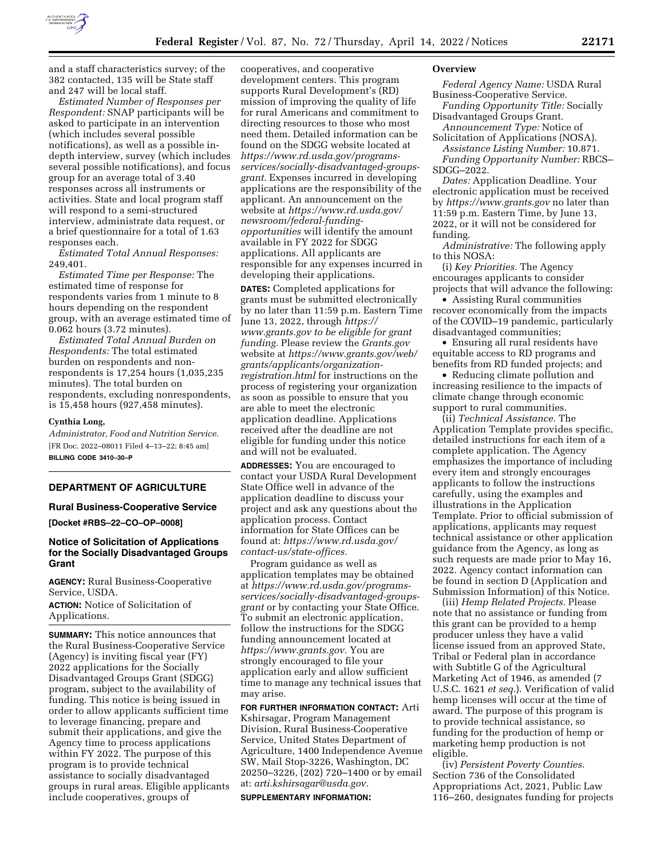

and a staff characteristics survey; of the 382 contacted, 135 will be State staff and 247 will be local staff.

*Estimated Number of Responses per Respondent:* SNAP participants will be asked to participate in an intervention (which includes several possible notifications), as well as a possible indepth interview, survey (which includes several possible notifications), and focus group for an average total of 3.40 responses across all instruments or activities. State and local program staff will respond to a semi-structured interview, administrate data request, or a brief questionnaire for a total of 1.63 responses each.

*Estimated Total Annual Responses:*  249,401.

*Estimated Time per Response:* The estimated time of response for respondents varies from 1 minute to 8 hours depending on the respondent group, with an average estimated time of 0.062 hours (3.72 minutes).

*Estimated Total Annual Burden on Respondents:* The total estimated burden on respondents and nonrespondents is 17,254 hours (1,035,235 minutes). The total burden on respondents, excluding nonrespondents, is 15,458 hours (927,458 minutes).

#### **Cynthia Long,**

*Administrator, Food and Nutrition Service.*  [FR Doc. 2022–08011 Filed 4–13–22; 8:45 am] **BILLING CODE 3410–30–P** 

## **DEPARTMENT OF AGRICULTURE**

### **Rural Business-Cooperative Service**

**[Docket #RBS–22–CO–OP–0008]** 

## **Notice of Solicitation of Applications for the Socially Disadvantaged Groups Grant**

**AGENCY:** Rural Business-Cooperative Service, USDA.

**ACTION:** Notice of Solicitation of Applications.

**SUMMARY:** This notice announces that the Rural Business-Cooperative Service (Agency) is inviting fiscal year (FY) 2022 applications for the Socially Disadvantaged Groups Grant (SDGG) program, subject to the availability of funding. This notice is being issued in order to allow applicants sufficient time to leverage financing, prepare and submit their applications, and give the Agency time to process applications within FY 2022. The purpose of this program is to provide technical assistance to socially disadvantaged groups in rural areas. Eligible applicants include cooperatives, groups of

cooperatives, and cooperative development centers. This program supports Rural Development's (RD) mission of improving the quality of life for rural Americans and commitment to directing resources to those who most need them. Detailed information can be found on the SDGG website located at *[https://www.rd.usda.gov/programs](https://www.rd.usda.gov/programs-services/socially-disadvantaged-groups-grant)[services/socially-disadvantaged-grou](https://www.rd.usda.gov/programs-services/socially-disadvantaged-groups-grant)ps[grant.](https://www.rd.usda.gov/programs-services/socially-disadvantaged-groups-grant)* Expenses incurred in developing applications are the responsibility of the applicant. An announcement on the website at *[https://www.rd.usda.gov/](https://www.rd.usda.gov/newsroom/federal-funding-opportunities)  [newsroom/federal-funding](https://www.rd.usda.gov/newsroom/federal-funding-opportunities)[opportunities](https://www.rd.usda.gov/newsroom/federal-funding-opportunities)* will identify the amount available in FY 2022 for SDGG applications. All applicants are responsible for any expenses incurred in developing their applications.

**DATES:** Completed applications for grants must be submitted electronically by no later than 11:59 p.m. Eastern Time June 13, 2022, through *[https://](https://www.grants.gov) [www.grants.gov](https://www.grants.gov) to be eligible for grant funding.* Please review the *Grants.gov*  website at *[https://www.grants.gov/web/](https://www.grants.gov/web/grants/applicants/organization-registration.html)  [grants/applicants/organization](https://www.grants.gov/web/grants/applicants/organization-registration.html)[registration.html](https://www.grants.gov/web/grants/applicants/organization-registration.html)* for instructions on the process of registering your organization as soon as possible to ensure that you are able to meet the electronic application deadline. Applications received after the deadline are not eligible for funding under this notice and will not be evaluated.

**ADDRESSES:** You are encouraged to contact your USDA Rural Development State Office well in advance of the application deadline to discuss your project and ask any questions about the application process. Contact information for State Offices can be found at: *[https://www.rd.usda.gov/](https://www.rd.usda.gov/contact-us/state-offices)  [contact-us/state-offices.](https://www.rd.usda.gov/contact-us/state-offices)* 

Program guidance as well as application templates may be obtained at *[https://www.rd.usda.gov/programs](https://www.rd.usda.gov/programs-services/socially-disadvantaged-groups-grant)[services/socially-disadvantaged-groups](https://www.rd.usda.gov/programs-services/socially-disadvantaged-groups-grant)[grant](https://www.rd.usda.gov/programs-services/socially-disadvantaged-groups-grant)* or by contacting your State Office. To submit an electronic application, follow the instructions for the SDGG funding announcement located at *[https://www.grants.gov.](https://www.grants.gov)* You are strongly encouraged to file your application early and allow sufficient time to manage any technical issues that may arise.

**FOR FURTHER INFORMATION CONTACT:** Arti Kshirsagar, Program Management Division, Rural Business-Cooperative Service, United States Department of Agriculture, 1400 Independence Avenue SW, Mail Stop-3226, Washington, DC 20250–3226, (202) 720–1400 or by email at: *[arti.kshirsagar@usda.gov.](mailto:arti.kshirsagar@usda.gov)* 

**SUPPLEMENTARY INFORMATION:** 

#### **Overview**

*Federal Agency Name:* USDA Rural Business-Cooperative Service.

*Funding Opportunity Title:* Socially Disadvantaged Groups Grant.

*Announcement Type:* Notice of Solicitation of Applications (NOSA).

*Assistance Listing Number:* 10.871. *Funding Opportunity Number:* RBCS–

SDGG–2022. *Dates:* Application Deadline. Your electronic application must be received by *<https://www.grants.gov>* no later than 11:59 p.m. Eastern Time, by June 13, 2022, or it will not be considered for

funding. *Administrative:* The following apply to this NOSA:

(i) *Key Priorities.* The Agency encourages applicants to consider projects that will advance the following:

• Assisting Rural communities recover economically from the impacts of the COVID–19 pandemic, particularly disadvantaged communities;

• Ensuring all rural residents have equitable access to RD programs and benefits from RD funded projects; and

• Reducing climate pollution and increasing resilience to the impacts of climate change through economic support to rural communities.

(ii) *Technical Assistance.* The Application Template provides specific, detailed instructions for each item of a complete application. The Agency emphasizes the importance of including every item and strongly encourages applicants to follow the instructions carefully, using the examples and illustrations in the Application Template. Prior to official submission of applications, applicants may request technical assistance or other application guidance from the Agency, as long as such requests are made prior to May 16, 2022. Agency contact information can be found in section D (Application and Submission Information) of this Notice.

(iii) *Hemp Related Projects.* Please note that no assistance or funding from this grant can be provided to a hemp producer unless they have a valid license issued from an approved State, Tribal or Federal plan in accordance with Subtitle G of the Agricultural Marketing Act of 1946, as amended (7 U.S.C. 1621 *et seq.*). Verification of valid hemp licenses will occur at the time of award. The purpose of this program is to provide technical assistance, so funding for the production of hemp or marketing hemp production is not eligible.

(iv) *Persistent Poverty Counties.*  Section 736 of the Consolidated Appropriations Act, 2021, Public Law 116–260, designates funding for projects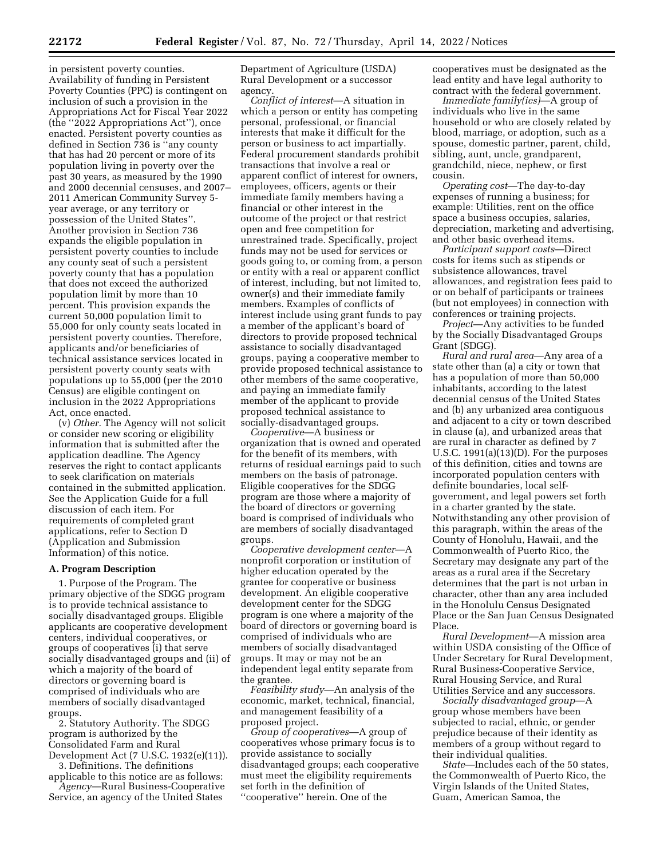in persistent poverty counties. Availability of funding in Persistent Poverty Counties (PPC) is contingent on inclusion of such a provision in the Appropriations Act for Fiscal Year 2022 (the ''2022 Appropriations Act''), once enacted. Persistent poverty counties as defined in Section 736 is ''any county that has had 20 percent or more of its population living in poverty over the past 30 years, as measured by the 1990 and 2000 decennial censuses, and 2007– 2011 American Community Survey 5 year average, or any territory or possession of the United States''. Another provision in Section 736 expands the eligible population in persistent poverty counties to include any county seat of such a persistent poverty county that has a population that does not exceed the authorized population limit by more than 10 percent. This provision expands the current 50,000 population limit to 55,000 for only county seats located in persistent poverty counties. Therefore, applicants and/or beneficiaries of technical assistance services located in persistent poverty county seats with populations up to 55,000 (per the 2010 Census) are eligible contingent on inclusion in the 2022 Appropriations Act, once enacted.

(v) *Other.* The Agency will not solicit or consider new scoring or eligibility information that is submitted after the application deadline. The Agency reserves the right to contact applicants to seek clarification on materials contained in the submitted application. See the Application Guide for a full discussion of each item. For requirements of completed grant applications, refer to Section D (Application and Submission Information) of this notice.

#### **A. Program Description**

1. Purpose of the Program. The primary objective of the SDGG program is to provide technical assistance to socially disadvantaged groups. Eligible applicants are cooperative development centers, individual cooperatives, or groups of cooperatives (i) that serve socially disadvantaged groups and (ii) of which a majority of the board of directors or governing board is comprised of individuals who are members of socially disadvantaged groups.

2. Statutory Authority. The SDGG program is authorized by the Consolidated Farm and Rural Development Act (7 U.S.C. 1932(e)(11)).

3. Definitions. The definitions applicable to this notice are as follows:

*Agency*—Rural Business-Cooperative Service, an agency of the United States

Department of Agriculture (USDA) Rural Development or a successor agency.

*Conflict of interest*—A situation in which a person or entity has competing personal, professional, or financial interests that make it difficult for the person or business to act impartially. Federal procurement standards prohibit transactions that involve a real or apparent conflict of interest for owners, employees, officers, agents or their immediate family members having a financial or other interest in the outcome of the project or that restrict open and free competition for unrestrained trade. Specifically, project funds may not be used for services or goods going to, or coming from, a person or entity with a real or apparent conflict of interest, including, but not limited to, owner(s) and their immediate family members. Examples of conflicts of interest include using grant funds to pay a member of the applicant's board of directors to provide proposed technical assistance to socially disadvantaged groups, paying a cooperative member to provide proposed technical assistance to other members of the same cooperative, and paying an immediate family member of the applicant to provide proposed technical assistance to socially-disadvantaged groups.

*Cooperative*—A business or organization that is owned and operated for the benefit of its members, with returns of residual earnings paid to such members on the basis of patronage. Eligible cooperatives for the SDGG program are those where a majority of the board of directors or governing board is comprised of individuals who are members of socially disadvantaged groups.

*Cooperative development center*—A nonprofit corporation or institution of higher education operated by the grantee for cooperative or business development. An eligible cooperative development center for the SDGG program is one where a majority of the board of directors or governing board is comprised of individuals who are members of socially disadvantaged groups. It may or may not be an independent legal entity separate from the grantee.

*Feasibility study*—An analysis of the economic, market, technical, financial, and management feasibility of a proposed project.

*Group of cooperatives*—A group of cooperatives whose primary focus is to provide assistance to socially disadvantaged groups; each cooperative must meet the eligibility requirements set forth in the definition of ''cooperative'' herein. One of the

cooperatives must be designated as the lead entity and have legal authority to contract with the federal government.

*Immediate family(ies)*—A group of individuals who live in the same household or who are closely related by blood, marriage, or adoption, such as a spouse, domestic partner, parent, child, sibling, aunt, uncle, grandparent, grandchild, niece, nephew, or first cousin.

*Operating cost*—The day-to-day expenses of running a business; for example: Utilities, rent on the office space a business occupies, salaries, depreciation, marketing and advertising, and other basic overhead items.

*Participant support costs*—Direct costs for items such as stipends or subsistence allowances, travel allowances, and registration fees paid to or on behalf of participants or trainees (but not employees) in connection with conferences or training projects.

*Project*—Any activities to be funded by the Socially Disadvantaged Groups Grant (SDGG).

*Rural and rural area*—Any area of a state other than (a) a city or town that has a population of more than 50,000 inhabitants, according to the latest decennial census of the United States and (b) any urbanized area contiguous and adjacent to a city or town described in clause (a), and urbanized areas that are rural in character as defined by 7 U.S.C. 1991(a)(13)(D). For the purposes of this definition, cities and towns are incorporated population centers with definite boundaries, local selfgovernment, and legal powers set forth in a charter granted by the state. Notwithstanding any other provision of this paragraph, within the areas of the County of Honolulu, Hawaii, and the Commonwealth of Puerto Rico, the Secretary may designate any part of the areas as a rural area if the Secretary determines that the part is not urban in character, other than any area included in the Honolulu Census Designated Place or the San Juan Census Designated Place.

*Rural Development*—A mission area within USDA consisting of the Office of Under Secretary for Rural Development, Rural Business-Cooperative Service, Rural Housing Service, and Rural Utilities Service and any successors.

*Socially disadvantaged group*—A group whose members have been subjected to racial, ethnic, or gender prejudice because of their identity as members of a group without regard to their individual qualities.

*State*—Includes each of the 50 states, the Commonwealth of Puerto Rico, the Virgin Islands of the United States, Guam, American Samoa, the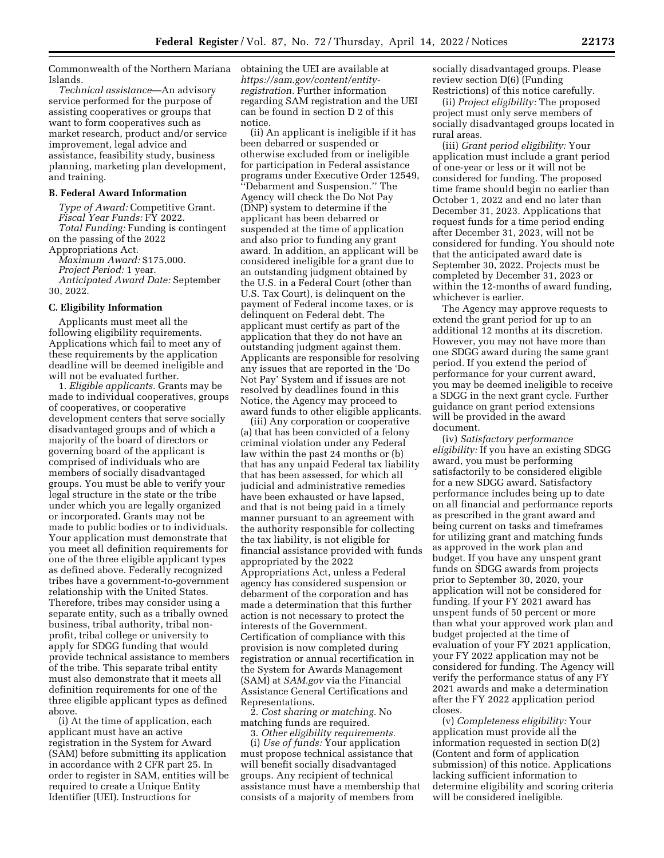Commonwealth of the Northern Mariana Islands.

*Technical assistance*—An advisory service performed for the purpose of assisting cooperatives or groups that want to form cooperatives such as market research, product and/or service improvement, legal advice and assistance, feasibility study, business planning, marketing plan development, and training.

#### **B. Federal Award Information**

*Type of Award:* Competitive Grant. *Fiscal Year Funds:* FY 2022. *Total Funding:* Funding is contingent on the passing of the 2022

Appropriations Act. *Maximum Award:* \$175,000. *Project Period:* 1 year. *Anticipated Award Date:* September 30, 2022.

### **C. Eligibility Information**

Applicants must meet all the following eligibility requirements. Applications which fail to meet any of these requirements by the application deadline will be deemed ineligible and will not be evaluated further.

1. *Eligible applicants.* Grants may be made to individual cooperatives, groups of cooperatives, or cooperative development centers that serve socially disadvantaged groups and of which a majority of the board of directors or governing board of the applicant is comprised of individuals who are members of socially disadvantaged groups. You must be able to verify your legal structure in the state or the tribe under which you are legally organized or incorporated. Grants may not be made to public bodies or to individuals. Your application must demonstrate that you meet all definition requirements for one of the three eligible applicant types as defined above. Federally recognized tribes have a government-to-government relationship with the United States. Therefore, tribes may consider using a separate entity, such as a tribally owned business, tribal authority, tribal nonprofit, tribal college or university to apply for SDGG funding that would provide technical assistance to members of the tribe. This separate tribal entity must also demonstrate that it meets all definition requirements for one of the three eligible applicant types as defined above.

(i) At the time of application, each applicant must have an active registration in the System for Award (SAM) before submitting its application in accordance with 2 CFR part 25. In order to register in SAM, entities will be required to create a Unique Entity Identifier (UEI). Instructions for

obtaining the UEI are available at *[https://sam.gov/content/entity](https://sam.gov/content/entity-registration)[registration.](https://sam.gov/content/entity-registration)* Further information regarding SAM registration and the UEI can be found in section D 2 of this notice.

(ii) An applicant is ineligible if it has been debarred or suspended or otherwise excluded from or ineligible for participation in Federal assistance programs under Executive Order 12549, ''Debarment and Suspension.'' The Agency will check the Do Not Pay (DNP) system to determine if the applicant has been debarred or suspended at the time of application and also prior to funding any grant award. In addition, an applicant will be considered ineligible for a grant due to an outstanding judgment obtained by the U.S. in a Federal Court (other than U.S. Tax Court), is delinquent on the payment of Federal income taxes, or is delinquent on Federal debt. The applicant must certify as part of the application that they do not have an outstanding judgment against them. Applicants are responsible for resolving any issues that are reported in the 'Do Not Pay' System and if issues are not resolved by deadlines found in this Notice, the Agency may proceed to award funds to other eligible applicants.

(iii) Any corporation or cooperative (a) that has been convicted of a felony criminal violation under any Federal law within the past 24 months or (b) that has any unpaid Federal tax liability that has been assessed, for which all judicial and administrative remedies have been exhausted or have lapsed, and that is not being paid in a timely manner pursuant to an agreement with the authority responsible for collecting the tax liability, is not eligible for financial assistance provided with funds appropriated by the 2022 Appropriations Act, unless a Federal agency has considered suspension or debarment of the corporation and has made a determination that this further action is not necessary to protect the interests of the Government. Certification of compliance with this provision is now completed during registration or annual recertification in the System for Awards Management (SAM) at *SAM.gov* via the Financial Assistance General Certifications and Representations.

2. *Cost sharing or matching.* No matching funds are required.

3. *Other eligibility requirements.* 

(i) *Use of funds:* Your application must propose technical assistance that will benefit socially disadvantaged groups. Any recipient of technical assistance must have a membership that consists of a majority of members from

socially disadvantaged groups. Please review section D(6) (Funding Restrictions) of this notice carefully.

(ii) *Project eligibility:* The proposed project must only serve members of socially disadvantaged groups located in rural areas.

(iii) *Grant period eligibility:* Your application must include a grant period of one-year or less or it will not be considered for funding. The proposed time frame should begin no earlier than October 1, 2022 and end no later than December 31, 2023. Applications that request funds for a time period ending after December 31, 2023, will not be considered for funding. You should note that the anticipated award date is September 30, 2022. Projects must be completed by December 31, 2023 or within the 12-months of award funding, whichever is earlier.

The Agency may approve requests to extend the grant period for up to an additional 12 months at its discretion. However, you may not have more than one SDGG award during the same grant period. If you extend the period of performance for your current award, you may be deemed ineligible to receive a SDGG in the next grant cycle. Further guidance on grant period extensions will be provided in the award document.

(iv) *Satisfactory performance eligibility:* If you have an existing SDGG award, you must be performing satisfactorily to be considered eligible for a new SDGG award. Satisfactory performance includes being up to date on all financial and performance reports as prescribed in the grant award and being current on tasks and timeframes for utilizing grant and matching funds as approved in the work plan and budget. If you have any unspent grant funds on SDGG awards from projects prior to September 30, 2020, your application will not be considered for funding. If your FY 2021 award has unspent funds of 50 percent or more than what your approved work plan and budget projected at the time of evaluation of your FY 2021 application, your FY 2022 application may not be considered for funding. The Agency will verify the performance status of any FY 2021 awards and make a determination after the FY 2022 application period closes.

(v) *Completeness eligibility:* Your application must provide all the information requested in section D(2) (Content and form of application submission) of this notice. Applications lacking sufficient information to determine eligibility and scoring criteria will be considered ineligible.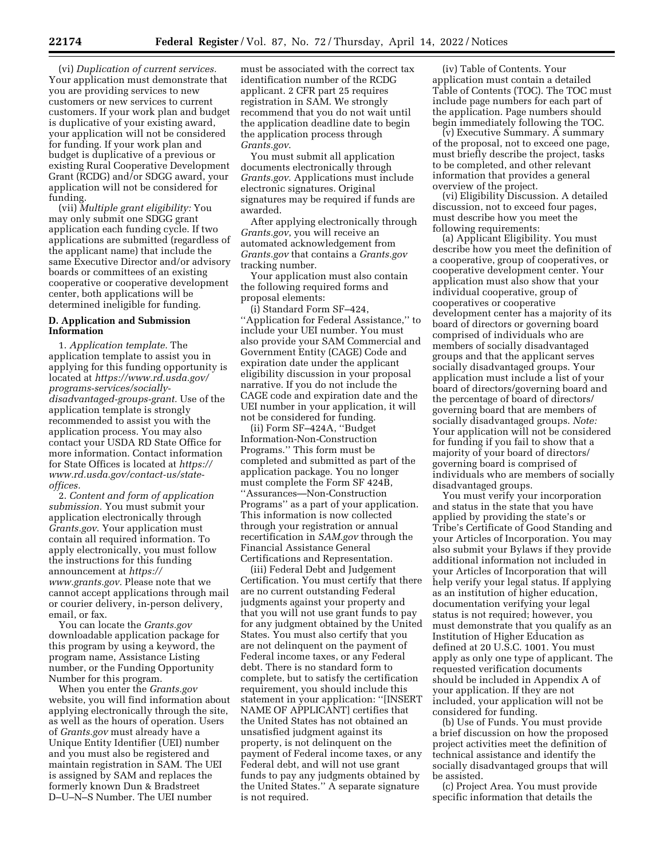(vi) *Duplication of current services.*  Your application must demonstrate that you are providing services to new customers or new services to current customers. If your work plan and budget is duplicative of your existing award, your application will not be considered for funding. If your work plan and budget is duplicative of a previous or existing Rural Cooperative Development Grant (RCDG) and/or SDGG award, your application will not be considered for funding.

(vii) *Multiple grant eligibility:* You may only submit one SDGG grant application each funding cycle. If two applications are submitted (regardless of the applicant name) that include the same Executive Director and/or advisory boards or committees of an existing cooperative or cooperative development center, both applications will be determined ineligible for funding.

## **D. Application and Submission Information**

1. *Application template.* The application template to assist you in applying for this funding opportunity is located at *[https://www.rd.usda.gov/](https://www.rd.usda.gov/programs-services/socially-disadvantaged-groups-grant)  [programs-services/socially](https://www.rd.usda.gov/programs-services/socially-disadvantaged-groups-grant)[disadvantaged-groups-grant.](https://www.rd.usda.gov/programs-services/socially-disadvantaged-groups-grant)* Use of the application template is strongly recommended to assist you with the application process. You may also contact your USDA RD State Office for more information. Contact information for State Offices is located at *[https://](https://www.rd.usda.gov/contact-us/state-offices) [www.rd.usda.gov/contact-us/state](https://www.rd.usda.gov/contact-us/state-offices)[offices.](https://www.rd.usda.gov/contact-us/state-offices)* 

2. *Content and form of application submission.* You must submit your application electronically through *Grants.gov*. Your application must contain all required information. To apply electronically, you must follow the instructions for this funding announcement at *[https://](https://www.grants.gov) [www.grants.gov.](https://www.grants.gov)* Please note that we cannot accept applications through mail or courier delivery, in-person delivery, email, or fax.

You can locate the *Grants.gov*  downloadable application package for this program by using a keyword, the program name, Assistance Listing number, or the Funding Opportunity Number for this program.

When you enter the *Grants.gov*  website, you will find information about applying electronically through the site, as well as the hours of operation. Users of *Grants.gov* must already have a Unique Entity Identifier (UEI) number and you must also be registered and maintain registration in SAM. The UEI is assigned by SAM and replaces the formerly known Dun & Bradstreet D–U–N–S Number. The UEI number

must be associated with the correct tax identification number of the RCDG applicant. 2 CFR part 25 requires registration in SAM. We strongly recommend that you do not wait until the application deadline date to begin the application process through *Grants.gov*.

You must submit all application documents electronically through *Grants.gov*. Applications must include electronic signatures. Original signatures may be required if funds are awarded.

After applying electronically through *Grants.gov*, you will receive an automated acknowledgement from *Grants.gov* that contains a *Grants.gov*  tracking number.

Your application must also contain the following required forms and proposal elements:

(i) Standard Form SF–424, ''Application for Federal Assistance,'' to include your UEI number. You must also provide your SAM Commercial and Government Entity (CAGE) Code and expiration date under the applicant eligibility discussion in your proposal narrative. If you do not include the CAGE code and expiration date and the UEI number in your application, it will not be considered for funding.

(ii) Form SF–424A, ''Budget Information-Non-Construction Programs.'' This form must be completed and submitted as part of the application package. You no longer must complete the Form SF 424B, ''Assurances—Non-Construction Programs'' as a part of your application. This information is now collected through your registration or annual recertification in *SAM.gov* through the Financial Assistance General Certifications and Representation.

(iii) Federal Debt and Judgement Certification. You must certify that there are no current outstanding Federal judgments against your property and that you will not use grant funds to pay for any judgment obtained by the United States. You must also certify that you are not delinquent on the payment of Federal income taxes, or any Federal debt. There is no standard form to complete, but to satisfy the certification requirement, you should include this statement in your application: ''[INSERT NAME OF APPLICANT] certifies that the United States has not obtained an unsatisfied judgment against its property, is not delinquent on the payment of Federal income taxes, or any Federal debt, and will not use grant funds to pay any judgments obtained by the United States.'' A separate signature is not required.

(iv) Table of Contents. Your application must contain a detailed Table of Contents (TOC). The TOC must include page numbers for each part of the application. Page numbers should begin immediately following the TOC.

(v) Executive Summary. A summary of the proposal, not to exceed one page, must briefly describe the project, tasks to be completed, and other relevant information that provides a general overview of the project.

(vi) Eligibility Discussion. A detailed discussion, not to exceed four pages, must describe how you meet the following requirements:

(a) Applicant Eligibility. You must describe how you meet the definition of a cooperative, group of cooperatives, or cooperative development center. Your application must also show that your individual cooperative, group of cooperatives or cooperative development center has a majority of its board of directors or governing board comprised of individuals who are members of socially disadvantaged groups and that the applicant serves socially disadvantaged groups. Your application must include a list of your board of directors/governing board and the percentage of board of directors/ governing board that are members of socially disadvantaged groups. *Note:*  Your application will not be considered for funding if you fail to show that a majority of your board of directors/ governing board is comprised of individuals who are members of socially disadvantaged groups.

You must verify your incorporation and status in the state that you have applied by providing the state's or Tribe's Certificate of Good Standing and your Articles of Incorporation. You may also submit your Bylaws if they provide additional information not included in your Articles of Incorporation that will help verify your legal status. If applying as an institution of higher education, documentation verifying your legal status is not required; however, you must demonstrate that you qualify as an Institution of Higher Education as defined at 20 U.S.C. 1001. You must apply as only one type of applicant. The requested verification documents should be included in Appendix A of your application. If they are not included, your application will not be considered for funding.

(b) Use of Funds. You must provide a brief discussion on how the proposed project activities meet the definition of technical assistance and identify the socially disadvantaged groups that will be assisted.

(c) Project Area. You must provide specific information that details the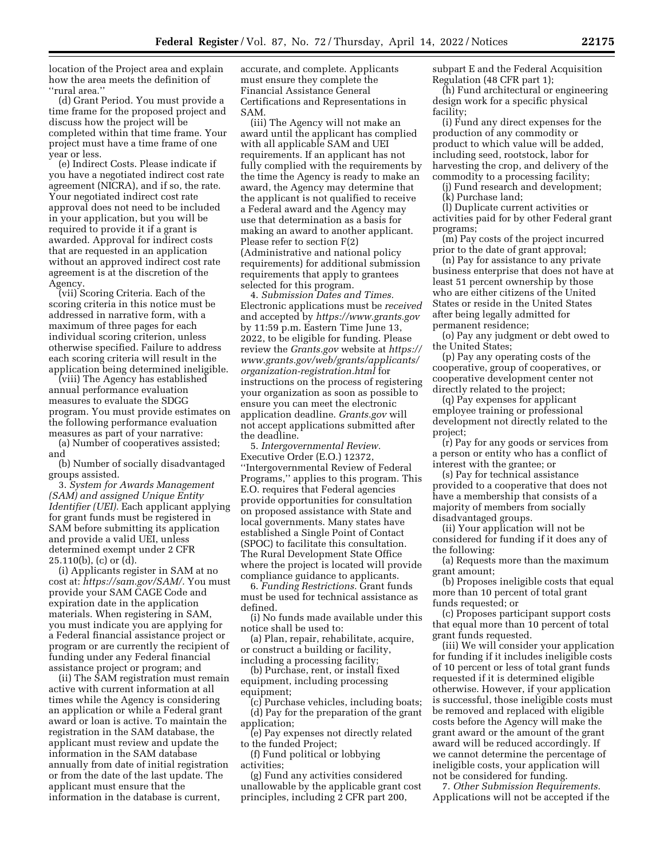location of the Project area and explain how the area meets the definition of ''rural area.''

(d) Grant Period. You must provide a time frame for the proposed project and discuss how the project will be completed within that time frame. Your project must have a time frame of one year or less.

(e) Indirect Costs. Please indicate if you have a negotiated indirect cost rate agreement (NICRA), and if so, the rate. Your negotiated indirect cost rate approval does not need to be included in your application, but you will be required to provide it if a grant is awarded. Approval for indirect costs that are requested in an application without an approved indirect cost rate agreement is at the discretion of the Agency.

(vii) Scoring Criteria. Each of the scoring criteria in this notice must be addressed in narrative form, with a maximum of three pages for each individual scoring criterion, unless otherwise specified. Failure to address each scoring criteria will result in the application being determined ineligible.

(viii) The Agency has established annual performance evaluation measures to evaluate the SDGG program. You must provide estimates on the following performance evaluation measures as part of your narrative:

(a) Number of cooperatives assisted; and

(b) Number of socially disadvantaged groups assisted.

3. *System for Awards Management (SAM) and assigned Unique Entity Identifier (UEI).* Each applicant applying for grant funds must be registered in SAM before submitting its application and provide a valid UEI, unless determined exempt under 2 CFR 25.110(b), (c) or (d).

(i) Applicants register in SAM at no cost at: *[https://sam.gov/SAM/.](https://sam.gov/SAM/)* You must provide your SAM CAGE Code and expiration date in the application materials. When registering in SAM, you must indicate you are applying for a Federal financial assistance project or program or are currently the recipient of funding under any Federal financial assistance project or program; and

(ii) The SAM registration must remain active with current information at all times while the Agency is considering an application or while a Federal grant award or loan is active. To maintain the registration in the SAM database, the applicant must review and update the information in the SAM database annually from date of initial registration or from the date of the last update. The applicant must ensure that the information in the database is current,

accurate, and complete. Applicants must ensure they complete the Financial Assistance General Certifications and Representations in SAM.

(iii) The Agency will not make an award until the applicant has complied with all applicable SAM and UEI requirements. If an applicant has not fully complied with the requirements by the time the Agency is ready to make an award, the Agency may determine that the applicant is not qualified to receive a Federal award and the Agency may use that determination as a basis for making an award to another applicant. Please refer to section F(2) (Administrative and national policy requirements) for additional submission requirements that apply to grantees selected for this program.

4. *Submission Dates and Times.*  Electronic applications must be *received*  and accepted by *<https://www.grants.gov>*  by 11:59 p.m. Eastern Time June 13, 2022, to be eligible for funding. Please review the *Grants.gov* website at *[https://](https://www.grants.gov/web/grants/applicants/organization-registration.html)  [www.grants.gov/web/grants/applicants/](https://www.grants.gov/web/grants/applicants/organization-registration.html)  [organization-registration.html](https://www.grants.gov/web/grants/applicants/organization-registration.html)* for instructions on the process of registering your organization as soon as possible to ensure you can meet the electronic application deadline. *Grants.gov* will not accept applications submitted after the deadline.

5. *Intergovernmental Review.*  Executive Order (E.O.) 12372, ''Intergovernmental Review of Federal Programs,'' applies to this program. This E.O. requires that Federal agencies provide opportunities for consultation on proposed assistance with State and local governments. Many states have established a Single Point of Contact (SPOC) to facilitate this consultation. The Rural Development State Office where the project is located will provide compliance guidance to applicants.

6. *Funding Restrictions.* Grant funds must be used for technical assistance as defined.

(i) No funds made available under this notice shall be used to:

(a) Plan, repair, rehabilitate, acquire, or construct a building or facility, including a processing facility;

(b) Purchase, rent, or install fixed equipment, including processing equipment;

(c) Purchase vehicles, including boats; (d) Pay for the preparation of the grant application;

(e) Pay expenses not directly related to the funded Project;

(f) Fund political or lobbying activities;

(g) Fund any activities considered unallowable by the applicable grant cost principles, including 2 CFR part 200,

subpart E and the Federal Acquisition Regulation (48 CFR part 1);

(h) Fund architectural or engineering design work for a specific physical facility;

(i) Fund any direct expenses for the production of any commodity or product to which value will be added, including seed, rootstock, labor for harvesting the crop, and delivery of the commodity to a processing facility;

(j) Fund research and development; (k) Purchase land;

(l) Duplicate current activities or activities paid for by other Federal grant programs;

(m) Pay costs of the project incurred prior to the date of grant approval;

(n) Pay for assistance to any private business enterprise that does not have at least 51 percent ownership by those who are either citizens of the United States or reside in the United States after being legally admitted for permanent residence;

(o) Pay any judgment or debt owed to the United States;

(p) Pay any operating costs of the cooperative, group of cooperatives, or cooperative development center not directly related to the project;

(q) Pay expenses for applicant employee training or professional development not directly related to the project;

(r) Pay for any goods or services from a person or entity who has a conflict of interest with the grantee; or

(s) Pay for technical assistance provided to a cooperative that does not have a membership that consists of a majority of members from socially disadvantaged groups.

(ii) Your application will not be considered for funding if it does any of the following:

(a) Requests more than the maximum grant amount;

(b) Proposes ineligible costs that equal more than 10 percent of total grant funds requested; or

(c) Proposes participant support costs that equal more than 10 percent of total grant funds requested.

(iii) We will consider your application for funding if it includes ineligible costs of 10 percent or less of total grant funds requested if it is determined eligible otherwise. However, if your application is successful, those ineligible costs must be removed and replaced with eligible costs before the Agency will make the grant award or the amount of the grant award will be reduced accordingly. If we cannot determine the percentage of ineligible costs, your application will not be considered for funding.

7. *Other Submission Requirements.*  Applications will not be accepted if the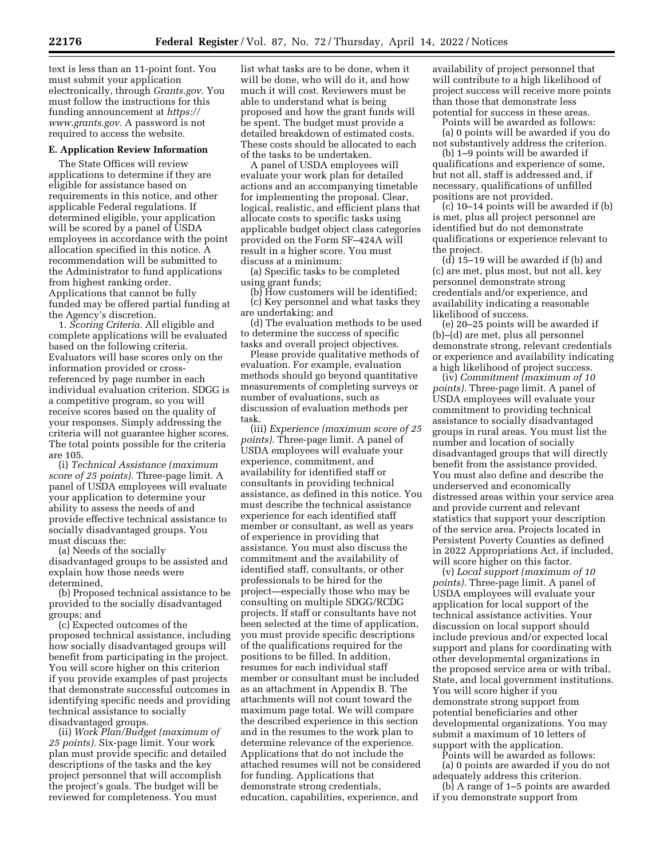text is less than an 11-point font. You must submit your application electronically, through *Grants.gov*. You must follow the instructions for this funding announcement at *[https://](https://www.grants.gov) [www.grants.gov.](https://www.grants.gov)* A password is not required to access the website.

#### **E. Application Review Information**

The State Offices will review applications to determine if they are eligible for assistance based on requirements in this notice, and other applicable Federal regulations. If determined eligible, your application will be scored by a panel of USDA employees in accordance with the point allocation specified in this notice. A recommendation will be submitted to the Administrator to fund applications from highest ranking order. Applications that cannot be fully funded may be offered partial funding at the Agency's discretion.

1. *Scoring Criteria.* All eligible and complete applications will be evaluated based on the following criteria. Evaluators will base scores only on the information provided or crossreferenced by page number in each individual evaluation criterion. SDGG is a competitive program, so you will receive scores based on the quality of your responses. Simply addressing the criteria will not guarantee higher scores. The total points possible for the criteria are 105.

(i) *Technical Assistance (maximum score of 25 points).* Three-page limit. A panel of USDA employees will evaluate your application to determine your ability to assess the needs of and provide effective technical assistance to socially disadvantaged groups. You must discuss the:

(a) Needs of the socially disadvantaged groups to be assisted and explain how those needs were determined,

(b) Proposed technical assistance to be provided to the socially disadvantaged groups; and

(c) Expected outcomes of the proposed technical assistance, including how socially disadvantaged groups will benefit from participating in the project. You will score higher on this criterion if you provide examples of past projects that demonstrate successful outcomes in identifying specific needs and providing technical assistance to socially disadvantaged groups.

(ii) *Work Plan/Budget (maximum of 25 points).* Six-page limit. Your work plan must provide specific and detailed descriptions of the tasks and the key project personnel that will accomplish the project's goals. The budget will be reviewed for completeness. You must

list what tasks are to be done, when it will be done, who will do it, and how much it will cost. Reviewers must be able to understand what is being proposed and how the grant funds will be spent. The budget must provide a detailed breakdown of estimated costs. These costs should be allocated to each of the tasks to be undertaken.

A panel of USDA employees will evaluate your work plan for detailed actions and an accompanying timetable for implementing the proposal. Clear, logical, realistic, and efficient plans that allocate costs to specific tasks using applicable budget object class categories provided on the Form SF–424A will result in a higher score. You must discuss at a minimum:

(a) Specific tasks to be completed using grant funds;

(b) How customers will be identified; (c) Key personnel and what tasks they are undertaking; and

(d) The evaluation methods to be used to determine the success of specific tasks and overall project objectives.

Please provide qualitative methods of evaluation. For example, evaluation methods should go beyond quantitative measurements of completing surveys or number of evaluations, such as discussion of evaluation methods per task.

(iii) *Experience (maximum score of 25 points).* Three-page limit. A panel of USDA employees will evaluate your experience, commitment, and availability for identified staff or consultants in providing technical assistance, as defined in this notice. You must describe the technical assistance experience for each identified staff member or consultant, as well as years of experience in providing that assistance. You must also discuss the commitment and the availability of identified staff, consultants, or other professionals to be hired for the project—especially those who may be consulting on multiple SDGG/RCDG projects. If staff or consultants have not been selected at the time of application, you must provide specific descriptions of the qualifications required for the positions to be filled. In addition, resumes for each individual staff member or consultant must be included as an attachment in Appendix B. The attachments will not count toward the maximum page total. We will compare the described experience in this section and in the resumes to the work plan to determine relevance of the experience. Applications that do not include the attached resumes will not be considered for funding. Applications that demonstrate strong credentials, education, capabilities, experience, and

availability of project personnel that will contribute to a high likelihood of project success will receive more points than those that demonstrate less potential for success in these areas.

Points will be awarded as follows: (a) 0 points will be awarded if you do not substantively address the criterion.

(b) 1–9 points will be awarded if qualifications and experience of some, but not all, staff is addressed and, if necessary, qualifications of unfilled positions are not provided.

(c) 10–14 points will be awarded if (b) is met, plus all project personnel are identified but do not demonstrate qualifications or experience relevant to the project.

 $(d)$  15–19 will be awarded if  $(b)$  and (c) are met, plus most, but not all, key personnel demonstrate strong credentials and/or experience, and availability indicating a reasonable likelihood of success.

(e) 20–25 points will be awarded if (b)–(d) are met, plus all personnel demonstrate strong, relevant credentials or experience and availability indicating a high likelihood of project success.

(iv) *Commitment (maximum of 10 points).* Three-page limit. A panel of USDA employees will evaluate your commitment to providing technical assistance to socially disadvantaged groups in rural areas. You must list the number and location of socially disadvantaged groups that will directly benefit from the assistance provided. You must also define and describe the underserved and economically distressed areas within your service area and provide current and relevant statistics that support your description of the service area. Projects located in Persistent Poverty Counties as defined in 2022 Appropriations Act, if included, will score higher on this factor.

(v) *Local support (maximum of 10 points).* Three-page limit. A panel of USDA employees will evaluate your application for local support of the technical assistance activities. Your discussion on local support should include previous and/or expected local support and plans for coordinating with other developmental organizations in the proposed service area or with tribal, State, and local government institutions. You will score higher if you demonstrate strong support from potential beneficiaries and other developmental organizations. You may submit a maximum of 10 letters of support with the application.

Points will be awarded as follows: (a) 0 points are awarded if you do not adequately address this criterion.

(b) A range of 1–5 points are awarded if you demonstrate support from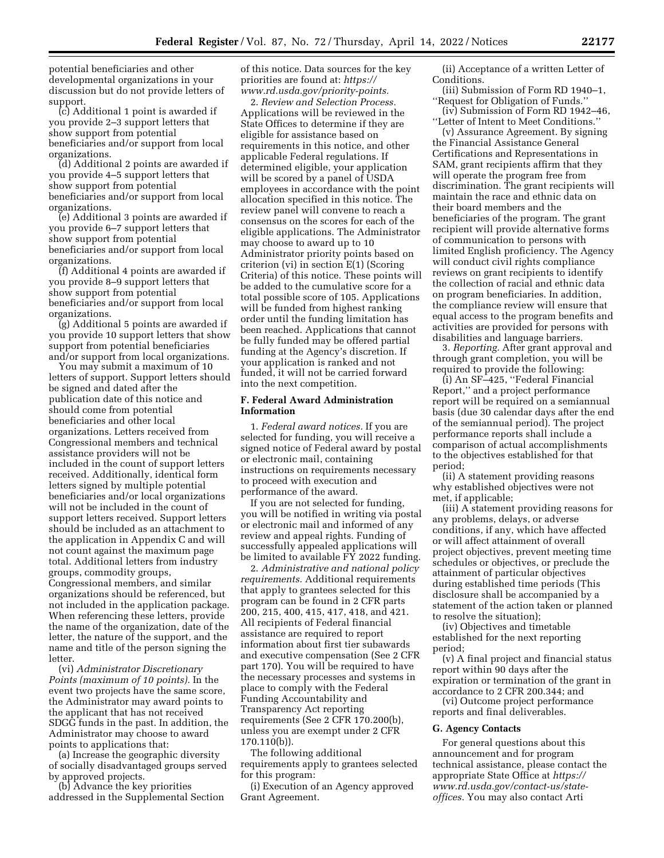potential beneficiaries and other developmental organizations in your discussion but do not provide letters of support.

(c) Additional 1 point is awarded if you provide 2–3 support letters that show support from potential beneficiaries and/or support from local organizations.

(d) Additional 2 points are awarded if you provide 4–5 support letters that show support from potential beneficiaries and/or support from local organizations.

(e) Additional 3 points are awarded if you provide 6–7 support letters that show support from potential beneficiaries and/or support from local organizations.

(f) Additional 4 points are awarded if you provide 8–9 support letters that show support from potential beneficiaries and/or support from local organizations.

(g) Additional 5 points are awarded if you provide 10 support letters that show support from potential beneficiaries and/or support from local organizations.

You may submit a maximum of 10 letters of support. Support letters should be signed and dated after the publication date of this notice and should come from potential beneficiaries and other local organizations. Letters received from Congressional members and technical assistance providers will not be included in the count of support letters received. Additionally, identical form letters signed by multiple potential beneficiaries and/or local organizations will not be included in the count of support letters received. Support letters should be included as an attachment to the application in Appendix C and will not count against the maximum page total. Additional letters from industry groups, commodity groups, Congressional members, and similar organizations should be referenced, but not included in the application package. When referencing these letters, provide the name of the organization, date of the letter, the nature of the support, and the name and title of the person signing the letter.

(vi) *Administrator Discretionary Points (maximum of 10 points).* In the event two projects have the same score, the Administrator may award points to the applicant that has not received SDGG funds in the past. In addition, the Administrator may choose to award points to applications that:

(a) Increase the geographic diversity of socially disadvantaged groups served by approved projects.

(b) Advance the key priorities addressed in the Supplemental Section of this notice. Data sources for the key priorities are found at: *[https://](https://www.rd.usda.gov/priority-points) [www.rd.usda.gov/priority-points.](https://www.rd.usda.gov/priority-points)* 

2. *Review and Selection Process.*  Applications will be reviewed in the State Offices to determine if they are eligible for assistance based on requirements in this notice, and other applicable Federal regulations. If determined eligible, your application will be scored by a panel of USDA employees in accordance with the point allocation specified in this notice. The review panel will convene to reach a consensus on the scores for each of the eligible applications. The Administrator may choose to award up to 10 Administrator priority points based on criterion (vi) in section E(1) (Scoring Criteria) of this notice. These points will be added to the cumulative score for a total possible score of 105. Applications will be funded from highest ranking order until the funding limitation has been reached. Applications that cannot be fully funded may be offered partial funding at the Agency's discretion. If your application is ranked and not funded, it will not be carried forward into the next competition.

### **F. Federal Award Administration Information**

1. *Federal award notices.* If you are selected for funding, you will receive a signed notice of Federal award by postal or electronic mail, containing instructions on requirements necessary to proceed with execution and performance of the award.

If you are not selected for funding, you will be notified in writing via postal or electronic mail and informed of any review and appeal rights. Funding of successfully appealed applications will be limited to available FY 2022 funding.

2. *Administrative and national policy requirements.* Additional requirements that apply to grantees selected for this program can be found in 2 CFR parts 200, 215, 400, 415, 417, 418, and 421. All recipients of Federal financial assistance are required to report information about first tier subawards and executive compensation (See 2 CFR part 170). You will be required to have the necessary processes and systems in place to comply with the Federal Funding Accountability and Transparency Act reporting requirements (See 2 CFR 170.200(b), unless you are exempt under 2 CFR 170.110(b)).

The following additional requirements apply to grantees selected for this program:

(i) Execution of an Agency approved Grant Agreement.

(ii) Acceptance of a written Letter of Conditions.

(iii) Submission of Form RD 1940–1, ''Request for Obligation of Funds.''

(iv) Submission of Form RD 1942–46, ''Letter of Intent to Meet Conditions.''

(v) Assurance Agreement. By signing the Financial Assistance General Certifications and Representations in SAM, grant recipients affirm that they will operate the program free from discrimination. The grant recipients will maintain the race and ethnic data on their board members and the beneficiaries of the program. The grant recipient will provide alternative forms of communication to persons with limited English proficiency. The Agency will conduct civil rights compliance reviews on grant recipients to identify the collection of racial and ethnic data on program beneficiaries. In addition, the compliance review will ensure that equal access to the program benefits and activities are provided for persons with disabilities and language barriers.

3. *Reporting.* After grant approval and through grant completion, you will be required to provide the following:

(i) An SF–425, ''Federal Financial Report,'' and a project performance report will be required on a semiannual basis (due 30 calendar days after the end of the semiannual period). The project performance reports shall include a comparison of actual accomplishments to the objectives established for that period;

(ii) A statement providing reasons why established objectives were not met, if applicable;

(iii) A statement providing reasons for any problems, delays, or adverse conditions, if any, which have affected or will affect attainment of overall project objectives, prevent meeting time schedules or objectives, or preclude the attainment of particular objectives during established time periods (This disclosure shall be accompanied by a statement of the action taken or planned to resolve the situation);

(iv) Objectives and timetable established for the next reporting period;

(v) A final project and financial status report within 90 days after the expiration or termination of the grant in accordance to 2 CFR 200.344; and

(vi) Outcome project performance reports and final deliverables.

#### **G. Agency Contacts**

For general questions about this announcement and for program technical assistance, please contact the appropriate State Office at *[https://](https://www.rd.usda.gov/contact-us/state-offices) [www.rd.usda.gov/contact-us/state](https://www.rd.usda.gov/contact-us/state-offices)[offices.](https://www.rd.usda.gov/contact-us/state-offices)* You may also contact Arti